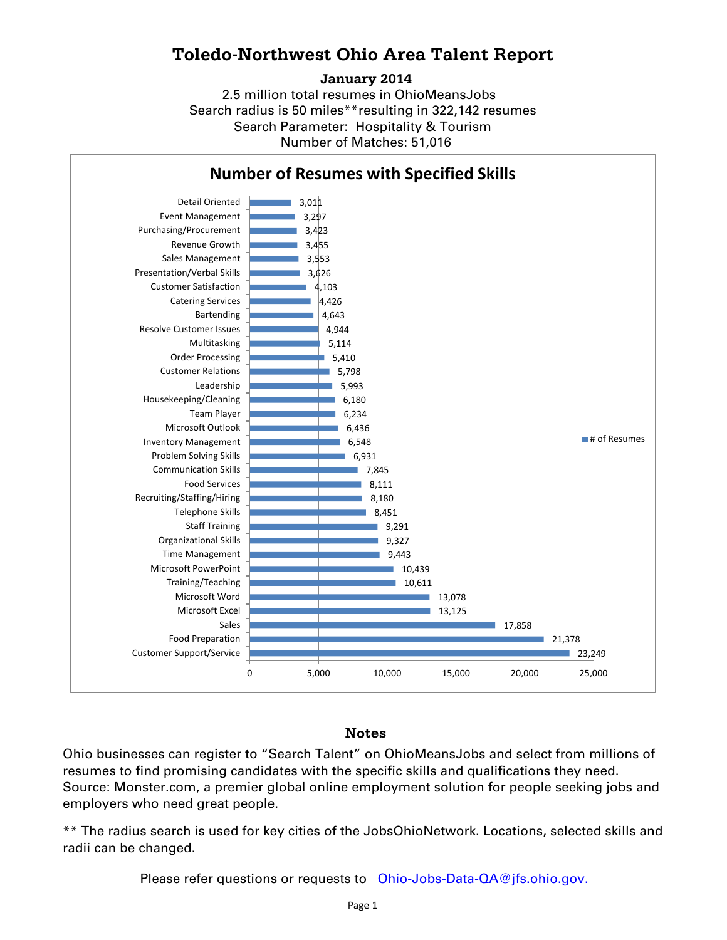## **Toledo-Northwest Ohio Area Talent Report**

#### **January 2014**

2.5 million total resumes in OhioMeansJobs Search radius is 50 miles\*\*resulting in 322,142 resumes Number of Matches: 51,016 Search Parameter: Hospitality & Tourism



### Notes

Ohio businesses can register to "Search Talent" on OhioMeansJobs and select from millions of resumes to find promising candidates with the specific skills and qualifications they need. Source: Monster.com, a premier global online employment solution for people seeking jobs and employers who need great people.

\*\* The radius search is used for key cities of the JobsOhioNetwork. Locations, selected skills and radii can be changed.

Please refer questions or requests to [Ohio-Jobs-Data-QA@jfs.ohio.gov.](mailto:Ohio-Jobs-Data-QA@jfs.ohio.gov.)